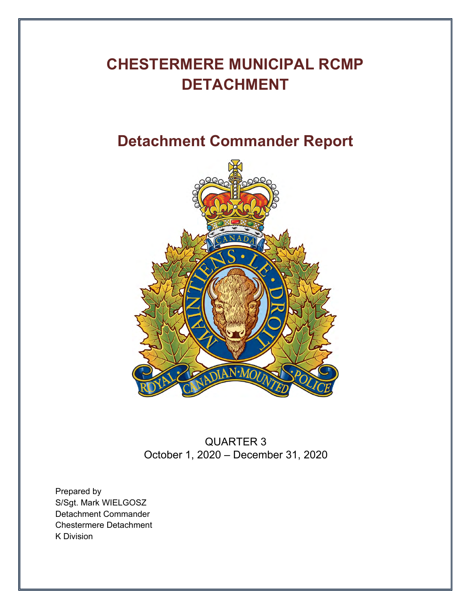# **CHESTERMERE MUNICIPAL RCMP DETACHMENT**

## **Detachment Commander Report**



QUARTER 3 October 1, 2020 – December 31, 2020

Prepared by S/Sgt. Mark WIELGOSZ Detachment Commander Chestermere Detachment K Division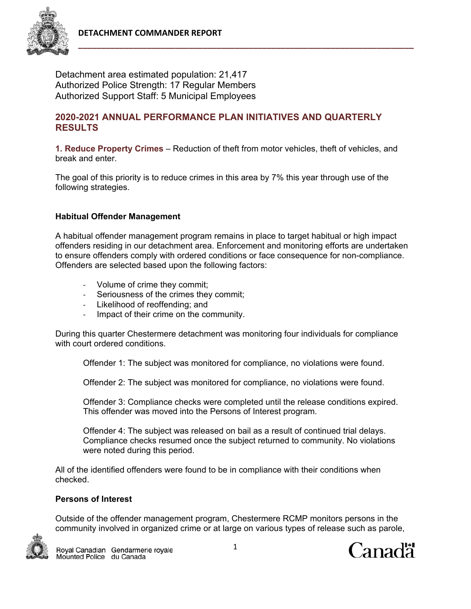

Detachment area estimated population: 21,417 Authorized Police Strength: 17 Regular Members Authorized Support Staff: 5 Municipal Employees

## **2020-2021 ANNUAL PERFORMANCE PLAN INITIATIVES AND QUARTERLY RESULTS**

**1. Reduce Property Crimes** – Reduction of theft from motor vehicles, theft of vehicles, and break and enter.

The goal of this priority is to reduce crimes in this area by 7% this year through use of the following strategies.

#### **Habitual Offender Management**

A habitual offender management program remains in place to target habitual or high impact offenders residing in our detachment area. Enforcement and monitoring efforts are undertaken to ensure offenders comply with ordered conditions or face consequence for non-compliance. Offenders are selected based upon the following factors:

- ‐ Volume of crime they commit;
- ‐ Seriousness of the crimes they commit;
- ‐ Likelihood of reoffending; and
- ‐ Impact of their crime on the community.

During this quarter Chestermere detachment was monitoring four individuals for compliance with court ordered conditions.

Offender 1: The subject was monitored for compliance, no violations were found.

Offender 2: The subject was monitored for compliance, no violations were found.

Offender 3: Compliance checks were completed until the release conditions expired. This offender was moved into the Persons of Interest program.

Offender 4: The subject was released on bail as a result of continued trial delays. Compliance checks resumed once the subject returned to community. No violations were noted during this period.

All of the identified offenders were found to be in compliance with their conditions when checked.

#### **Persons of Interest**

Outside of the offender management program, Chestermere RCMP monitors persons in the community involved in organized crime or at large on various types of release such as parole,



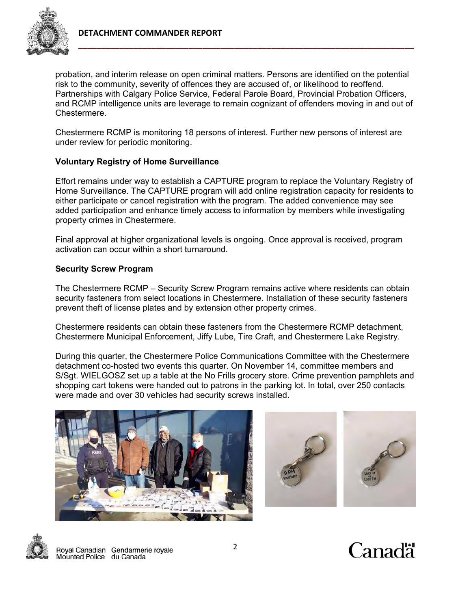

probation, and interim release on open criminal matters. Persons are identified on the potential risk to the community, severity of offences they are accused of, or likelihood to reoffend. Partnerships with Calgary Police Service, Federal Parole Board, Provincial Probation Officers, and RCMP intelligence units are leverage to remain cognizant of offenders moving in and out of Chestermere.

Chestermere RCMP is monitoring 18 persons of interest. Further new persons of interest are under review for periodic monitoring.

#### **Voluntary Registry of Home Surveillance**

Effort remains under way to establish a CAPTURE program to replace the Voluntary Registry of Home Surveillance. The CAPTURE program will add online registration capacity for residents to either participate or cancel registration with the program. The added convenience may see added participation and enhance timely access to information by members while investigating property crimes in Chestermere.

Final approval at higher organizational levels is ongoing. Once approval is received, program activation can occur within a short turnaround.

#### **Security Screw Program**

The Chestermere RCMP – Security Screw Program remains active where residents can obtain security fasteners from select locations in Chestermere. Installation of these security fasteners prevent theft of license plates and by extension other property crimes.

Chestermere residents can obtain these fasteners from the Chestermere RCMP detachment, Chestermere Municipal Enforcement, Jiffy Lube, Tire Craft, and Chestermere Lake Registry.

During this quarter, the Chestermere Police Communications Committee with the Chestermere detachment co-hosted two events this quarter. On November 14, committee members and S/Sgt. WIELGOSZ set up a table at the No Frills grocery store. Crime prevention pamphlets and shopping cart tokens were handed out to patrons in the parking lot. In total, over 250 contacts were made and over 30 vehicles had security screws installed.









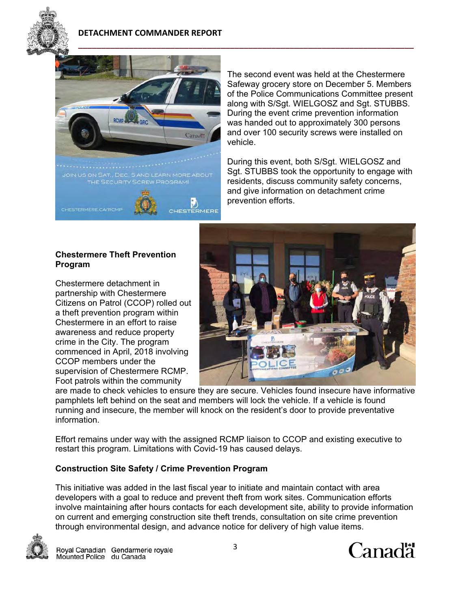

#### **DETACHMENT COMMANDER REPORT**



The second event was held at the Chestermere Safeway grocery store on December 5. Members of the Police Communications Committee present along with S/Sgt. WIELGOSZ and Sgt. STUBBS. During the event crime prevention information was handed out to approximately 300 persons and over 100 security screws were installed on vehicle.

During this event, both S/Sgt. WIELGOSZ and Sgt. STUBBS took the opportunity to engage with residents, discuss community safety concerns, and give information on detachment crime prevention efforts.

#### **Chestermere Theft Prevention Program**

Chestermere detachment in partnership with Chestermere Citizens on Patrol (CCOP) rolled out a theft prevention program within Chestermere in an effort to raise awareness and reduce property crime in the City. The program commenced in April, 2018 involving CCOP members under the supervision of Chestermere RCMP. Foot patrols within the community



are made to check vehicles to ensure they are secure. Vehicles found insecure have informative pamphlets left behind on the seat and members will lock the vehicle. If a vehicle is found running and insecure, the member will knock on the resident's door to provide preventative information.

Effort remains under way with the assigned RCMP liaison to CCOP and existing executive to restart this program. Limitations with Covid-19 has caused delays.

#### **Construction Site Safety / Crime Prevention Program**

This initiative was added in the last fiscal year to initiate and maintain contact with area developers with a goal to reduce and prevent theft from work sites. Communication efforts involve maintaining after hours contacts for each development site, ability to provide information on current and emerging construction site theft trends, consultation on site crime prevention through environmental design, and advance notice for delivery of high value items.



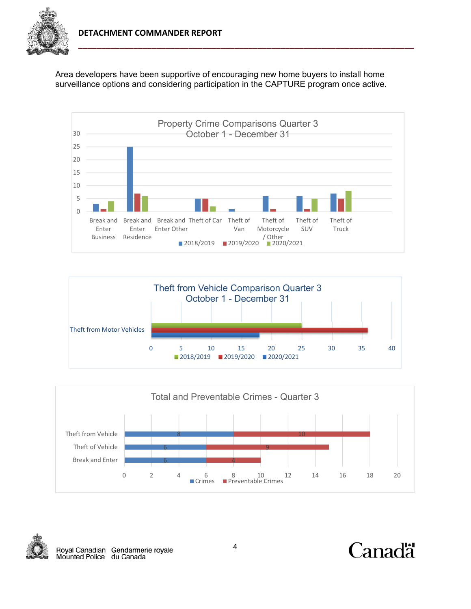

Area developers have been supportive of encouraging new home buyers to install home surveillance options and considering participation in the CAPTURE program once active.









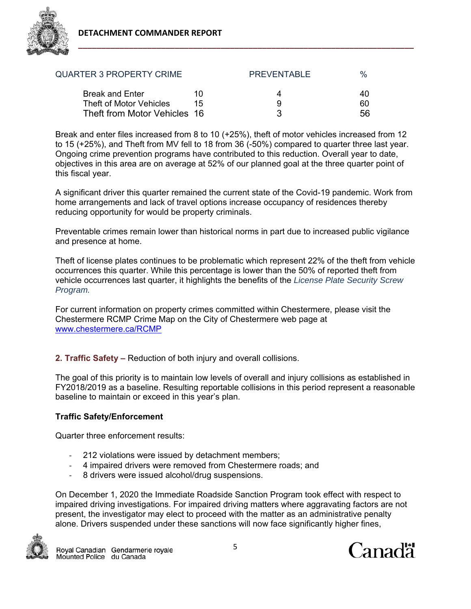

| <b>QUARTER 3 PROPERTY CRIME</b> |     | <b>PREVENTABLE</b> | $\frac{0}{0}$ |
|---------------------------------|-----|--------------------|---------------|
| <b>Break and Enter</b>          | 10  |                    | 40            |
| Theft of Motor Vehicles         | 15. | q                  | 60            |
| Theft from Motor Vehicles 16    |     |                    | 56            |

Break and enter files increased from 8 to 10 (+25%), theft of motor vehicles increased from 12 to 15 (+25%), and Theft from MV fell to 18 from 36 (-50%) compared to quarter three last year. Ongoing crime prevention programs have contributed to this reduction. Overall year to date, objectives in this area are on average at 52% of our planned goal at the three quarter point of this fiscal year.

A significant driver this quarter remained the current state of the Covid-19 pandemic. Work from home arrangements and lack of travel options increase occupancy of residences thereby reducing opportunity for would be property criminals.

Preventable crimes remain lower than historical norms in part due to increased public vigilance and presence at home.

Theft of license plates continues to be problematic which represent 22% of the theft from vehicle occurrences this quarter. While this percentage is lower than the 50% of reported theft from vehicle occurrences last quarter, it highlights the benefits of the *License Plate Security Screw Program.*

For current information on property crimes committed within Chestermere, please visit the Chestermere RCMP Crime Map on the City of Chestermere web page at www.chestermere.ca/RCMP

**2. Traffic Safety –** Reduction of both injury and overall collisions.

The goal of this priority is to maintain low levels of overall and injury collisions as established in FY2018/2019 as a baseline. Resulting reportable collisions in this period represent a reasonable baseline to maintain or exceed in this year's plan.

## **Traffic Safety/Enforcement**

Quarter three enforcement results:

- ‐ 212 violations were issued by detachment members;
- ‐ 4 impaired drivers were removed from Chestermere roads; and
- ‐ 8 drivers were issued alcohol/drug suspensions.

On December 1, 2020 the Immediate Roadside Sanction Program took effect with respect to impaired driving investigations. For impaired driving matters where aggravating factors are not present, the investigator may elect to proceed with the matter as an administrative penalty alone. Drivers suspended under these sanctions will now face significantly higher fines,



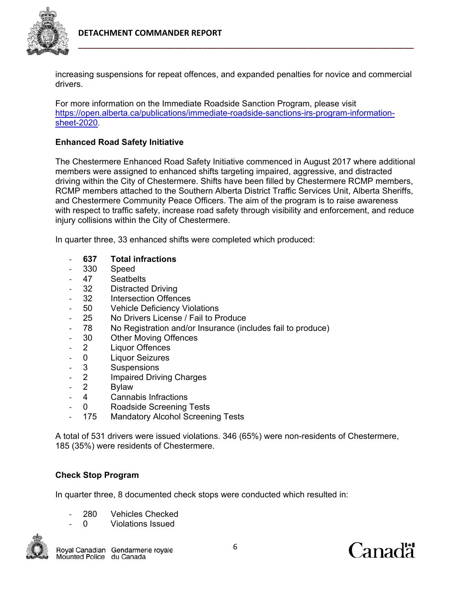

increasing suspensions for repeat offences, and expanded penalties for novice and commercial drivers.

For more information on the Immediate Roadside Sanction Program, please visit https://open.alberta.ca/publications/immediate-roadside-sanctions-irs-program-informationsheet-2020.

## **Enhanced Road Safety Initiative**

The Chestermere Enhanced Road Safety Initiative commenced in August 2017 where additional members were assigned to enhanced shifts targeting impaired, aggressive, and distracted driving within the City of Chestermere. Shifts have been filled by Chestermere RCMP members, RCMP members attached to the Southern Alberta District Traffic Services Unit, Alberta Sheriffs, and Chestermere Community Peace Officers. The aim of the program is to raise awareness with respect to traffic safety, increase road safety through visibility and enforcement, and reduce injury collisions within the City of Chestermere.

In quarter three, 33 enhanced shifts were completed which produced:

- ‐ **637 Total infractions**
- ‐ 330 Speed
- ‐ 47 Seatbelts
- ‐ 32 Distracted Driving
- ‐ 32 Intersection Offences
- 50 Vehicle Deficiency Violations
- ‐ 25 No Drivers License / Fail to Produce
- ‐ 78 No Registration and/or Insurance (includes fail to produce)
- ‐ 30 Other Moving Offences
- ‐ 2 Liquor Offences
- 0 Liquor Seizures
- 3 Suspensions<br>- 2 Impaired Driv
- **Impaired Driving Charges**
- ‐ 2 Bylaw
- ‐ 4 Cannabis Infractions
- ‐ 0 Roadside Screening Tests
- ‐ 175 Mandatory Alcohol Screening Tests

A total of 531 drivers were issued violations. 346 (65%) were non-residents of Chestermere, 185 (35%) were residents of Chestermere.

## **Check Stop Program**

In quarter three, 8 documented check stops were conducted which resulted in:

- ‐ 280 Vehicles Checked
	- ‐ 0 Violations Issued



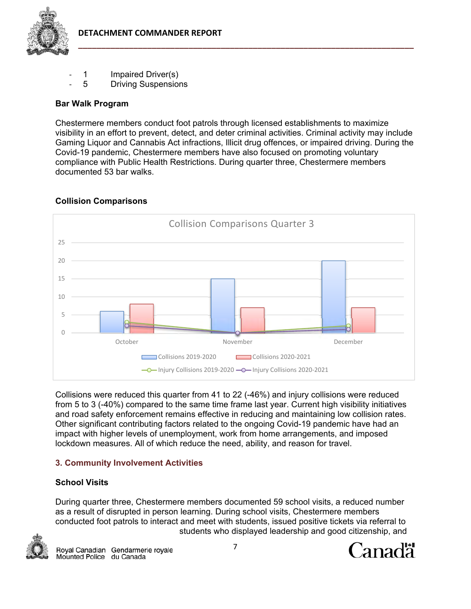

- 1 **Impaired Driver(s)**
- 5 Driving Suspensions

## **Bar Walk Program**

Chestermere members conduct foot patrols through licensed establishments to maximize visibility in an effort to prevent, detect, and deter criminal activities. Criminal activity may include Gaming Liquor and Cannabis Act infractions, Illicit drug offences, or impaired driving. During the Covid-19 pandemic, Chestermere members have also focused on promoting voluntary compliance with Public Health Restrictions. During quarter three, Chestermere members documented 53 bar walks.



## **Collision Comparisons**

Collisions were reduced this quarter from 41 to 22 (-46%) and injury collisions were reduced from 5 to 3 (-40%) compared to the same time frame last year. Current high visibility initiatives and road safety enforcement remains effective in reducing and maintaining low collision rates. Other significant contributing factors related to the ongoing Covid-19 pandemic have had an impact with higher levels of unemployment, work from home arrangements, and imposed lockdown measures. All of which reduce the need, ability, and reason for travel.

## **3. Community Involvement Activities**

## **School Visits**

During quarter three, Chestermere members documented 59 school visits, a reduced number as a result of disrupted in person learning. During school visits, Chestermere members conducted foot patrols to interact and meet with students, issued positive tickets via referral to students who displayed leadership and good citizenship, and



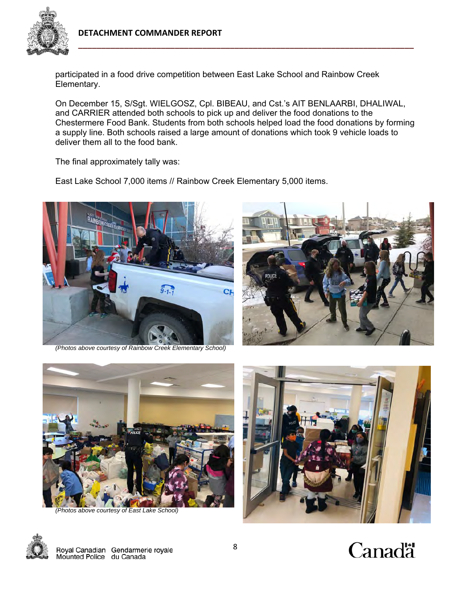

participated in a food drive competition between East Lake School and Rainbow Creek Elementary.

On December 15, S/Sgt. WIELGOSZ, Cpl. BIBEAU, and Cst.'s AIT BENLAARBI, DHALIWAL, and CARRIER attended both schools to pick up and deliver the food donations to the Chestermere Food Bank. Students from both schools helped load the food donations by forming a supply line. Both schools raised a large amount of donations which took 9 vehicle loads to deliver them all to the food bank.

The final approximately tally was:

East Lake School 7,000 items // Rainbow Creek Elementary 5,000 items.









*(Photos above courtesy of East Lake School)* 





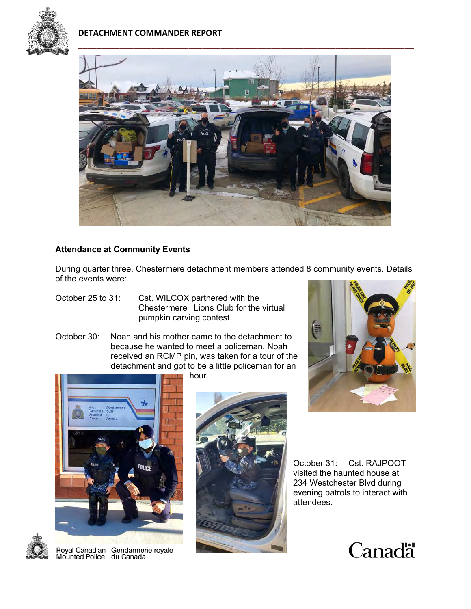





## **Attendance at Community Events**

During quarter three, Chestermere detachment members attended 8 community events. Details of the events were:

- October 25 to 31: Cst. WILCOX partnered with the Chestermere Lions Club for the virtual pumpkin carving contest.
- October 30: Noah and his mother came to the detachment to because he wanted to meet a policeman. Noah received an RCMP pin, was taken for a tour of the detachment and got to be a little policeman for an hour.





Royal Canadian Gendarmerie royale<br>Mounted Police du Canada





October 31: Cst. RAJPOOT visited the haunted house at 234 Westchester Blvd during evening patrols to interact with attendees.

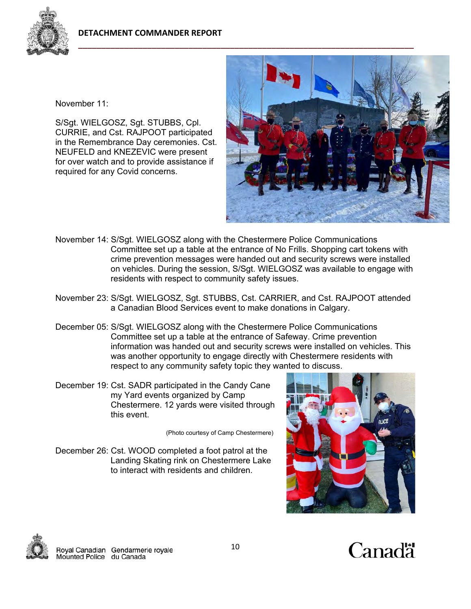



S/Sgt. WIELGOSZ, Sgt. STUBBS, Cpl. CURRIE, and Cst. RAJPOOT participated in the Remembrance Day ceremonies. Cst. NEUFELD and KNEZEVIC were present for over watch and to provide assistance if required for any Covid concerns.



- November 14: S/Sgt. WIELGOSZ along with the Chestermere Police Communications Committee set up a table at the entrance of No Frills. Shopping cart tokens with crime prevention messages were handed out and security screws were installed on vehicles. During the session, S/Sgt. WIELGOSZ was available to engage with residents with respect to community safety issues.
- November 23: S/Sgt. WIELGOSZ, Sgt. STUBBS, Cst. CARRIER, and Cst. RAJPOOT attended a Canadian Blood Services event to make donations in Calgary.
- December 05: S/Sgt. WIELGOSZ along with the Chestermere Police Communications Committee set up a table at the entrance of Safeway. Crime prevention information was handed out and security screws were installed on vehicles. This was another opportunity to engage directly with Chestermere residents with respect to any community safety topic they wanted to discuss.
- December 19: Cst. SADR participated in the Candy Cane my Yard events organized by Camp Chestermere. 12 yards were visited through this event.

(Photo courtesy of Camp Chestermere)

December 26: Cst. WOOD completed a foot patrol at the Landing Skating rink on Chestermere Lake to interact with residents and children.



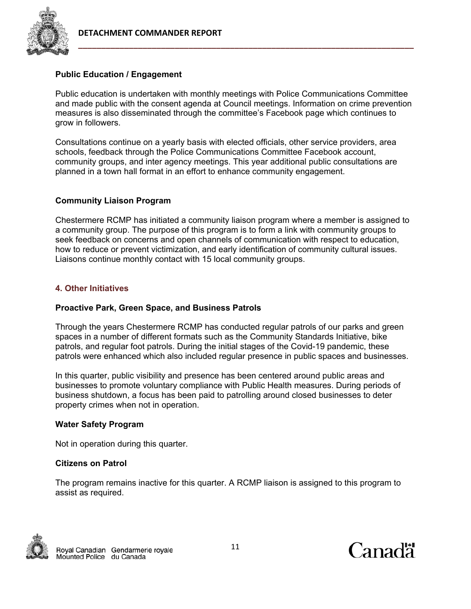

### **Public Education / Engagement**

Public education is undertaken with monthly meetings with Police Communications Committee and made public with the consent agenda at Council meetings. Information on crime prevention measures is also disseminated through the committee's Facebook page which continues to grow in followers.

Consultations continue on a yearly basis with elected officials, other service providers, area schools, feedback through the Police Communications Committee Facebook account, community groups, and inter agency meetings. This year additional public consultations are planned in a town hall format in an effort to enhance community engagement.

#### **Community Liaison Program**

Chestermere RCMP has initiated a community liaison program where a member is assigned to a community group. The purpose of this program is to form a link with community groups to seek feedback on concerns and open channels of communication with respect to education, how to reduce or prevent victimization, and early identification of community cultural issues. Liaisons continue monthly contact with 15 local community groups.

#### **4. Other Initiatives**

#### **Proactive Park, Green Space, and Business Patrols**

Through the years Chestermere RCMP has conducted regular patrols of our parks and green spaces in a number of different formats such as the Community Standards Initiative, bike patrols, and regular foot patrols. During the initial stages of the Covid-19 pandemic, these patrols were enhanced which also included regular presence in public spaces and businesses.

In this quarter, public visibility and presence has been centered around public areas and businesses to promote voluntary compliance with Public Health measures. During periods of business shutdown, a focus has been paid to patrolling around closed businesses to deter property crimes when not in operation.

#### **Water Safety Program**

Not in operation during this quarter.

#### **Citizens on Patrol**

The program remains inactive for this quarter. A RCMP liaison is assigned to this program to assist as required.



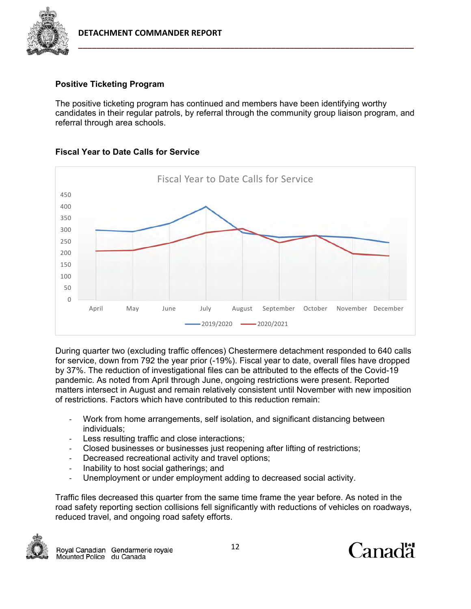

## **Positive Ticketing Program**

The positive ticketing program has continued and members have been identifying worthy candidates in their regular patrols, by referral through the community group liaison program, and referral through area schools.



## **Fiscal Year to Date Calls for Service**

During quarter two (excluding traffic offences) Chestermere detachment responded to 640 calls for service, down from 792 the year prior (-19%). Fiscal year to date, overall files have dropped by 37%. The reduction of investigational files can be attributed to the effects of the Covid-19 pandemic. As noted from April through June, ongoing restrictions were present. Reported matters intersect in August and remain relatively consistent until November with new imposition of restrictions. Factors which have contributed to this reduction remain:

- ‐ Work from home arrangements, self isolation, and significant distancing between individuals;
- ‐ Less resulting traffic and close interactions;
- ‐ Closed businesses or businesses just reopening after lifting of restrictions;
- Decreased recreational activity and travel options;
- ‐ Inability to host social gatherings; and
- ‐ Unemployment or under employment adding to decreased social activity.

Traffic files decreased this quarter from the same time frame the year before. As noted in the road safety reporting section collisions fell significantly with reductions of vehicles on roadways, reduced travel, and ongoing road safety efforts.



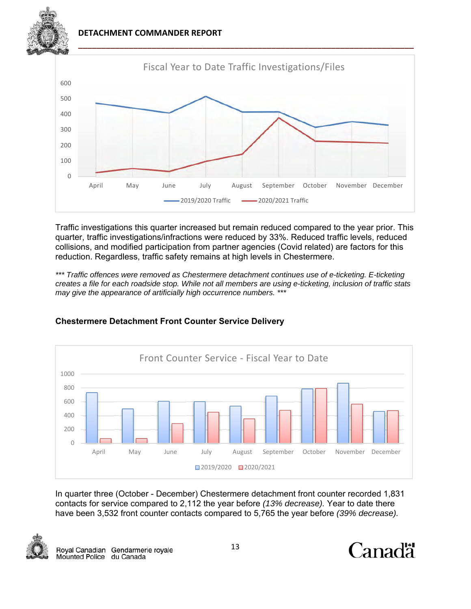**DETACHMENT COMMANDER REPORT** 



Traffic investigations this quarter increased but remain reduced compared to the year prior. This quarter, traffic investigations/infractions were reduced by 33%. Reduced traffic levels, reduced collisions, and modified participation from partner agencies (Covid related) are factors for this reduction. Regardless, traffic safety remains at high levels in Chestermere.

*\*\*\* Traffic offences were removed as Chestermere detachment continues use of e-ticketing. E-ticketing creates a file for each roadside stop. While not all members are using e-ticketing, inclusion of traffic stats may give the appearance of artificially high occurrence numbers. \*\*\** 



## **Chestermere Detachment Front Counter Service Delivery**

In quarter three (October - December) Chestermere detachment front counter recorded 1,831 contacts for service compared to 2,112 the year before *(13% decrease).* Year to date there have been 3,532 front counter contacts compared to 5,765 the year before *(39% decrease).*